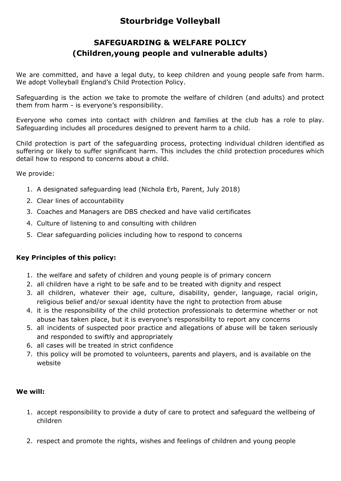## **Stourbridge Volleyball**

## **SAFEGUARDING & WELFARE POLICY (Children,young people and vulnerable adults)**

We are committed, and have a legal duty, to keep children and young people safe from harm. We adopt Volleyball England's Child Protection Policy.

Safeguarding is the action we take to promote the welfare of children (and adults) and protect them from harm - is everyone's responsibility.

Everyone who comes into contact with children and families at the club has a role to play. Safeguarding includes all procedures designed to prevent harm to a child.

Child protection is part of the safeguarding process, protecting individual children identified as suffering or likely to suffer significant harm. This includes the child protection procedures which detail how to respond to concerns about a child.

We provide:

- 1. A designated safeguarding lead (Nichola Erb, Parent, July 2018)
- 2. Clear lines of accountability
- 3. Coaches and Managers are DBS checked and have valid certificates
- 4. Culture of listening to and consulting with children
- 5. Clear safeguarding policies including how to respond to concerns

## **Key Principles of this policy:**

- 1. the welfare and safety of children and young people is of primary concern
- 2. all children have a right to be safe and to be treated with dignity and respect
- 3. all children, whatever their age, culture, disability, gender, language, racial origin, religious belief and/or sexual identity have the right to protection from abuse
- 4. it is the responsibility of the child protection professionals to determine whether or not abuse has taken place, but it is everyone's responsibility to report any concerns
- 5. all incidents of suspected poor practice and allegations of abuse will be taken seriously and responded to swiftly and appropriately
- 6. all cases will be treated in strict confidence
- 7. this policy will be promoted to volunteers, parents and players, and is available on the website

## **We will:**

- 1. accept responsibility to provide a duty of care to protect and safeguard the wellbeing of children
- 2. respect and promote the rights, wishes and feelings of children and young people